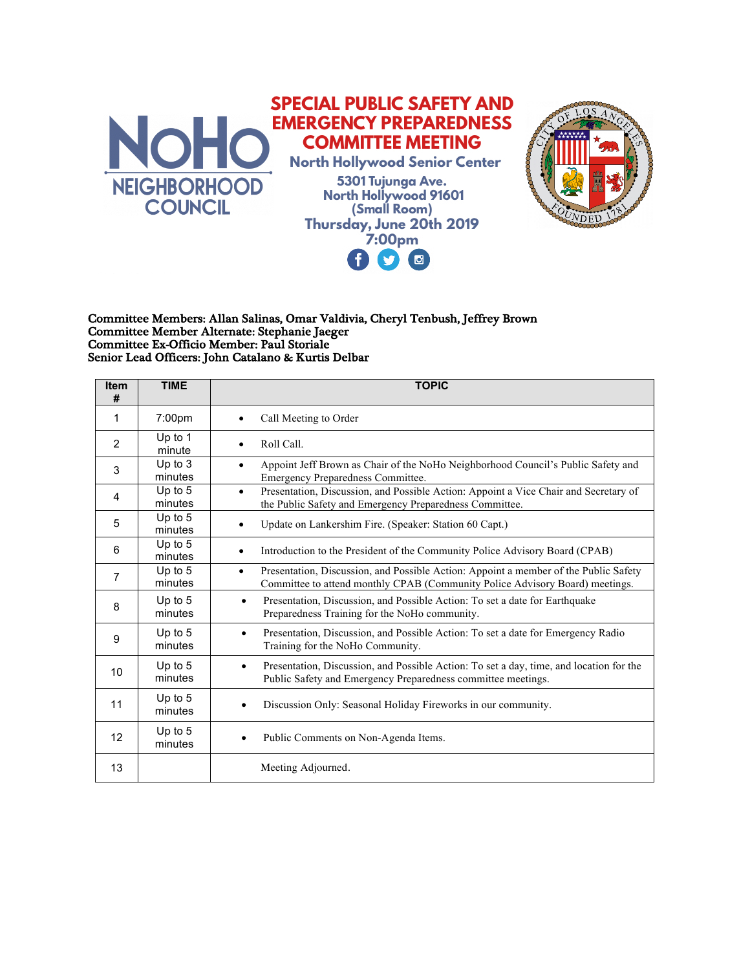

( G)

**M** 

## Committee Members: Allan Salinas, Omar Valdivia, Cheryl Tenbush, Jeffrey Brown Committee Member Alternate: Stephanie Jaeger Committee Ex-Officio Member: Paul Storiale Senior Lead Officers: John Catalano & Kurtis Delbar

| <b>Item</b><br># | <b>TIME</b>          | <b>TOPIC</b>                                                                                                                                                                      |
|------------------|----------------------|-----------------------------------------------------------------------------------------------------------------------------------------------------------------------------------|
| 1                | 7:00pm               | Call Meeting to Order                                                                                                                                                             |
| 2                | Up to 1<br>minute    | Roll Call.<br>$\bullet$                                                                                                                                                           |
| 3                | Up to 3<br>minutes   | Appoint Jeff Brown as Chair of the NoHo Neighborhood Council's Public Safety and<br>$\bullet$<br>Emergency Preparedness Committee.                                                |
| 4                | Up to 5<br>minutes   | Presentation, Discussion, and Possible Action: Appoint a Vice Chair and Secretary of<br>$\bullet$<br>the Public Safety and Emergency Preparedness Committee.                      |
| 5                | Up to 5<br>minutes   | Update on Lankershim Fire. (Speaker: Station 60 Capt.)<br>$\bullet$                                                                                                               |
| 6                | Up to 5<br>minutes   | Introduction to the President of the Community Police Advisory Board (CPAB)<br>$\bullet$                                                                                          |
| 7                | Up to 5<br>minutes   | Presentation, Discussion, and Possible Action: Appoint a member of the Public Safety<br>$\bullet$<br>Committee to attend monthly CPAB (Community Police Advisory Board) meetings. |
| 8                | Up to 5<br>minutes   | Presentation, Discussion, and Possible Action: To set a date for Earthquake<br>$\bullet$<br>Preparedness Training for the NoHo community.                                         |
| 9                | Up to $5$<br>minutes | Presentation, Discussion, and Possible Action: To set a date for Emergency Radio<br>$\bullet$<br>Training for the NoHo Community.                                                 |
| 10               | Up to 5<br>minutes   | Presentation, Discussion, and Possible Action: To set a day, time, and location for the<br>$\bullet$<br>Public Safety and Emergency Preparedness committee meetings.              |
| 11               | Up to 5<br>minutes   | Discussion Only: Seasonal Holiday Fireworks in our community.                                                                                                                     |
| 12               | Up to 5<br>minutes   | Public Comments on Non-Agenda Items.                                                                                                                                              |
| 13               |                      | Meeting Adjourned.                                                                                                                                                                |